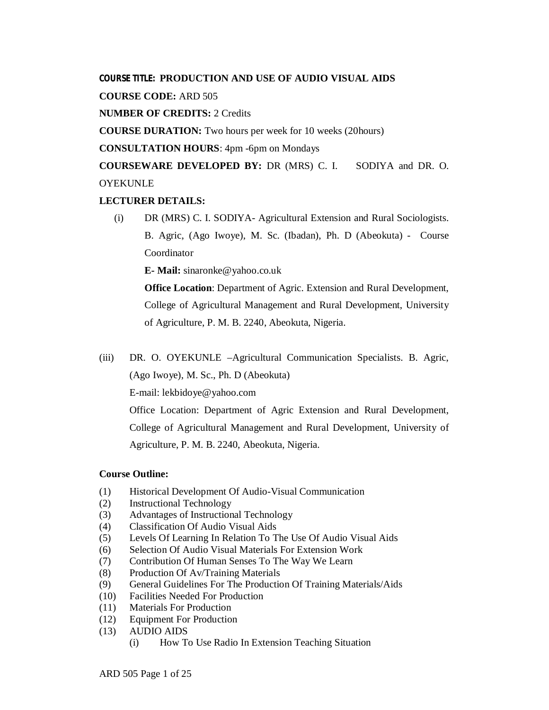## **COURSE TITLE: PRODUCTION AND USE OF AUDIO VISUAL AIDS**

**COURSE CODE:** ARD 505

**NUMBER OF CREDITS:** 2 Credits

**COURSE DURATION:** Two hours per week for 10 weeks (20hours)

**CONSULTATION HOURS**: 4pm -6pm on Mondays

**COURSEWARE DEVELOPED BY:** DR (MRS) C. I. SODIYA and DR. O. **OYEKUNLE** 

## **LECTURER DETAILS:**

(i) DR (MRS) C. I. SODIYA- Agricultural Extension and Rural Sociologists. B. Agric, (Ago Iwoye), M. Sc. (Ibadan), Ph. D (Abeokuta) - Course Coordinator

**E- Mail:** sinaronke@yahoo.co.uk

**Office Location**: Department of Agric. Extension and Rural Development, College of Agricultural Management and Rural Development, University of Agriculture, P. M. B. 2240, Abeokuta, Nigeria.

(iii) DR. O. OYEKUNLE –Agricultural Communication Specialists. B. Agric, (Ago Iwoye), M. Sc., Ph. D (Abeokuta)

E-mail: lekbidoye@yahoo.com

Office Location: Department of Agric Extension and Rural Development, College of Agricultural Management and Rural Development, University of Agriculture, P. M. B. 2240, Abeokuta, Nigeria.

## **Course Outline:**

- (1) Historical Development Of Audio-Visual Communication
- (2) Instructional Technology
- (3) Advantages of Instructional Technology
- (4) Classification Of Audio Visual Aids
- (5) Levels Of Learning In Relation To The Use Of Audio Visual Aids
- (6) Selection Of Audio Visual Materials For Extension Work
- (7) Contribution Of Human Senses To The Way We Learn
- (8) Production Of Av/Training Materials
- (9) General Guidelines For The Production Of Training Materials/Aids
- (10) Facilities Needed For Production
- (11) Materials For Production
- (12) Equipment For Production
- (13) AUDIO AIDS
	- (i) How To Use Radio In Extension Teaching Situation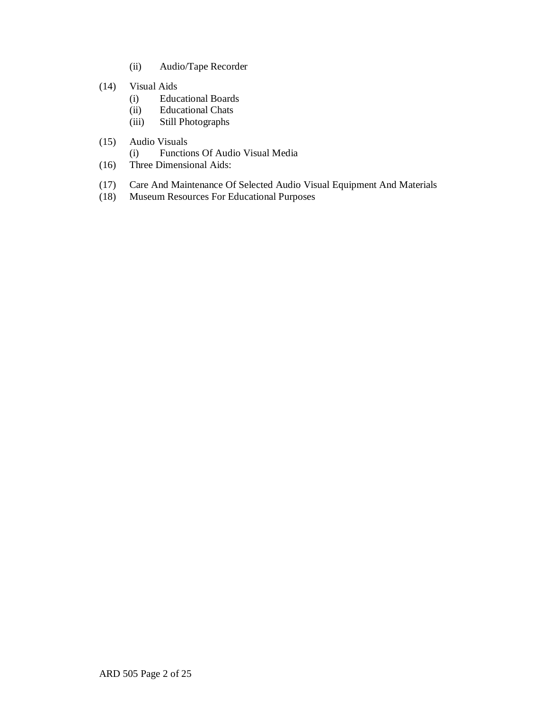- (ii) Audio/Tape Recorder
- (14) Visual Aids
	- (i) Educational Boards
	- (ii) Educational Chats
	- (iii) Still Photographs
- (15) Audio Visuals
	- (i) Functions Of Audio Visual Media
- (16) Three Dimensional Aids:
- (17) Care And Maintenance Of Selected Audio Visual Equipment And Materials
- (18) Museum Resources For Educational Purposes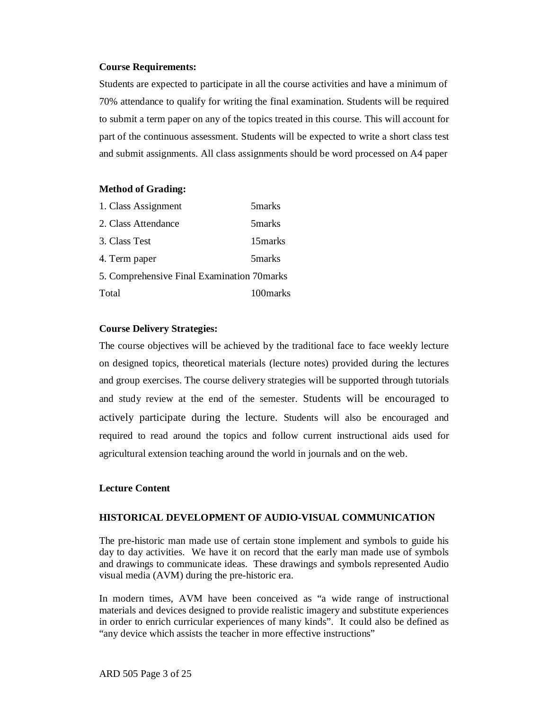## **Course Requirements:**

Students are expected to participate in all the course activities and have a minimum of 70% attendance to qualify for writing the final examination. Students will be required to submit a term paper on any of the topics treated in this course. This will account for part of the continuous assessment. Students will be expected to write a short class test and submit assignments. All class assignments should be word processed on A4 paper

#### **Method of Grading:**

| 1. Class Assignment                         | 5 <sub>marks</sub> |
|---------------------------------------------|--------------------|
| 2. Class Attendance                         | 5 marks            |
| 3. Class Test                               | 15 marks           |
| 4. Term paper                               | 5 <sub>marks</sub> |
| 5. Comprehensive Final Examination 70 marks |                    |
| Total                                       | 100 marks          |

#### **Course Delivery Strategies:**

The course objectives will be achieved by the traditional face to face weekly lecture on designed topics, theoretical materials (lecture notes) provided during the lectures and group exercises. The course delivery strategies will be supported through tutorials and study review at the end of the semester. Students will be encouraged to actively participate during the lecture. Students will also be encouraged and required to read around the topics and follow current instructional aids used for agricultural extension teaching around the world in journals and on the web.

## **Lecture Content**

## **HISTORICAL DEVELOPMENT OF AUDIO-VISUAL COMMUNICATION**

The pre-historic man made use of certain stone implement and symbols to guide his day to day activities. We have it on record that the early man made use of symbols and drawings to communicate ideas. These drawings and symbols represented Audio visual media (AVM) during the pre-historic era.

In modern times, AVM have been conceived as "a wide range of instructional materials and devices designed to provide realistic imagery and substitute experiences in order to enrich curricular experiences of many kinds". It could also be defined as "any device which assists the teacher in more effective instructions"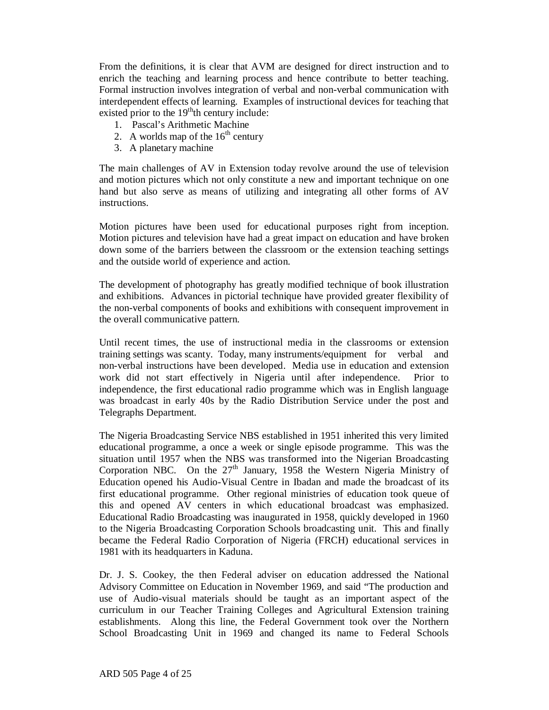From the definitions, it is clear that AVM are designed for direct instruction and to enrich the teaching and learning process and hence contribute to better teaching. Formal instruction involves integration of verbal and non-verbal communication with interdependent effects of learning. Examples of instructional devices for teaching that existed prior to the 19<sup>th</sup>th century include:

- 1. Pascal's Arithmetic Machine
- 2. A worlds map of the  $16<sup>th</sup>$  century
- 3. A planetary machine

The main challenges of AV in Extension today revolve around the use of television and motion pictures which not only constitute a new and important technique on one hand but also serve as means of utilizing and integrating all other forms of AV instructions.

Motion pictures have been used for educational purposes right from inception. Motion pictures and television have had a great impact on education and have broken down some of the barriers between the classroom or the extension teaching settings and the outside world of experience and action.

The development of photography has greatly modified technique of book illustration and exhibitions. Advances in pictorial technique have provided greater flexibility of the non-verbal components of books and exhibitions with consequent improvement in the overall communicative pattern.

Until recent times, the use of instructional media in the classrooms or extension training settings was scanty. Today, many instruments/equipment for verbal and non-verbal instructions have been developed. Media use in education and extension work did not start effectively in Nigeria until after independence. Prior to independence, the first educational radio programme which was in English language was broadcast in early 40s by the Radio Distribution Service under the post and Telegraphs Department.

The Nigeria Broadcasting Service NBS established in 1951 inherited this very limited educational programme, a once a week or single episode programme. This was the situation until 1957 when the NBS was transformed into the Nigerian Broadcasting Corporation NBC. On the  $27<sup>th</sup>$  January, 1958 the Western Nigeria Ministry of Education opened his Audio-Visual Centre in Ibadan and made the broadcast of its first educational programme. Other regional ministries of education took queue of this and opened AV centers in which educational broadcast was emphasized. Educational Radio Broadcasting was inaugurated in 1958, quickly developed in 1960 to the Nigeria Broadcasting Corporation Schools broadcasting unit. This and finally became the Federal Radio Corporation of Nigeria (FRCH) educational services in 1981 with its headquarters in Kaduna.

Dr. J. S. Cookey, the then Federal adviser on education addressed the National Advisory Committee on Education in November 1969, and said "The production and use of Audio-visual materials should be taught as an important aspect of the curriculum in our Teacher Training Colleges and Agricultural Extension training establishments. Along this line, the Federal Government took over the Northern School Broadcasting Unit in 1969 and changed its name to Federal Schools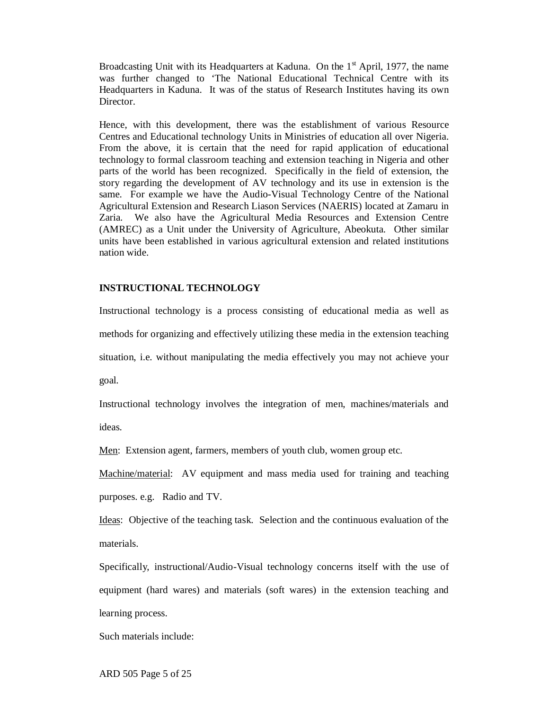Broadcasting Unit with its Headquarters at Kaduna. On the  $1<sup>st</sup>$  April, 1977, the name was further changed to 'The National Educational Technical Centre with its Headquarters in Kaduna. It was of the status of Research Institutes having its own Director.

Hence, with this development, there was the establishment of various Resource Centres and Educational technology Units in Ministries of education all over Nigeria. From the above, it is certain that the need for rapid application of educational technology to formal classroom teaching and extension teaching in Nigeria and other parts of the world has been recognized. Specifically in the field of extension, the story regarding the development of AV technology and its use in extension is the same. For example we have the Audio-Visual Technology Centre of the National Agricultural Extension and Research Liason Services (NAERIS) located at Zamaru in Zaria. We also have the Agricultural Media Resources and Extension Centre (AMREC) as a Unit under the University of Agriculture, Abeokuta. Other similar units have been established in various agricultural extension and related institutions nation wide.

## **INSTRUCTIONAL TECHNOLOGY**

Instructional technology is a process consisting of educational media as well as methods for organizing and effectively utilizing these media in the extension teaching situation, i.e. without manipulating the media effectively you may not achieve your goal.

Instructional technology involves the integration of men, machines/materials and

ideas.

Men: Extension agent, farmers, members of youth club, women group etc.

Machine/material: AV equipment and mass media used for training and teaching purposes. e.g. Radio and TV.

Ideas: Objective of the teaching task. Selection and the continuous evaluation of the materials.

Specifically, instructional/Audio-Visual technology concerns itself with the use of equipment (hard wares) and materials (soft wares) in the extension teaching and learning process.

Such materials include: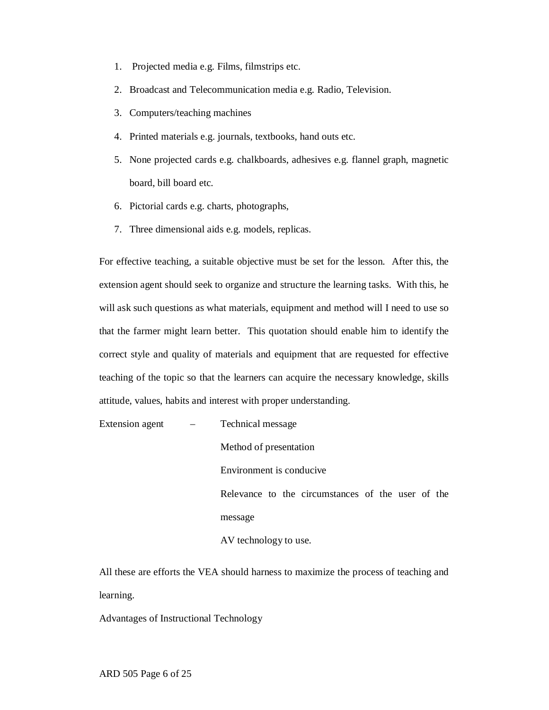- 1. Projected media e.g. Films, filmstrips etc.
- 2. Broadcast and Telecommunication media e.g. Radio, Television.
- 3. Computers/teaching machines
- 4. Printed materials e.g. journals, textbooks, hand outs etc.
- 5. None projected cards e.g. chalkboards, adhesives e.g. flannel graph, magnetic board, bill board etc.
- 6. Pictorial cards e.g. charts, photographs,
- 7. Three dimensional aids e.g. models, replicas.

For effective teaching, a suitable objective must be set for the lesson. After this, the extension agent should seek to organize and structure the learning tasks. With this, he will ask such questions as what materials, equipment and method will I need to use so that the farmer might learn better. This quotation should enable him to identify the correct style and quality of materials and equipment that are requested for effective teaching of the topic so that the learners can acquire the necessary knowledge, skills attitude, values, habits and interest with proper understanding.

| Extension agent $-$ | Technical message                                 |
|---------------------|---------------------------------------------------|
|                     | Method of presentation                            |
|                     | Environment is conducive.                         |
|                     | Relevance to the circumstances of the user of the |
|                     | message                                           |
|                     | AV technology to use.                             |

All these are efforts the VEA should harness to maximize the process of teaching and learning.

Advantages of Instructional Technology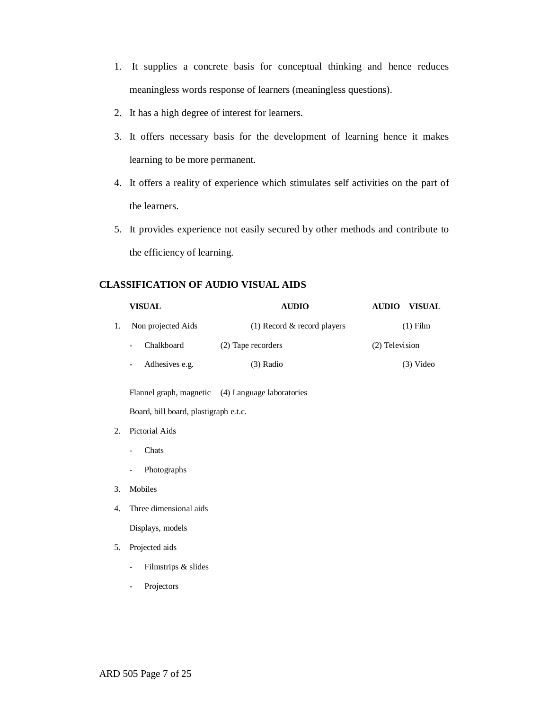- 1. It supplies a concrete basis for conceptual thinking and hence reduces meaningless words response of learners (meaningless questions).
- 2. It has a high degree of interest for learners.
- 3. It offers necessary basis for the development of learning hence it makes learning to be more permanent.
- 4. It offers a reality of experience which stimulates self activities on the part of the learners.
- 5. It provides experience not easily secured by other methods and contribute to the efficiency of learning.

## **CLASSIFICATION OF AUDIO VISUAL AIDS**

|    | <b>VISUAL</b>                                   | <b>AUDIO</b>                                      | <b>AUDIO</b>   | <b>VISUAL</b> |  |  |
|----|-------------------------------------------------|---------------------------------------------------|----------------|---------------|--|--|
| 1. | Non projected Aids                              | (1) Record $\&$ record players                    |                | $(1)$ Film    |  |  |
|    | Chalkboard<br>$\overline{\phantom{0}}$          | (2) Tape recorders                                | (2) Television |               |  |  |
|    | Adhesives e.g.<br>$\overline{\phantom{0}}$      | (3) Radio                                         |                | $(3)$ Video   |  |  |
|    |                                                 | Flannel graph, magnetic (4) Language laboratories |                |               |  |  |
|    | Board, bill board, plastigraph e.t.c.           |                                                   |                |               |  |  |
| 2. | Pictorial Aids                                  |                                                   |                |               |  |  |
|    | Chats<br>$\overline{a}$                         |                                                   |                |               |  |  |
|    | Photographs<br>$\overline{a}$                   |                                                   |                |               |  |  |
| 3. | Mobiles                                         |                                                   |                |               |  |  |
| 4. | Three dimensional aids                          |                                                   |                |               |  |  |
|    | Displays, models                                |                                                   |                |               |  |  |
| 5. | Projected aids                                  |                                                   |                |               |  |  |
|    | Filmstrips & slides<br>$\overline{\phantom{0}}$ |                                                   |                |               |  |  |
|    | Projectors                                      |                                                   |                |               |  |  |
|    |                                                 |                                                   |                |               |  |  |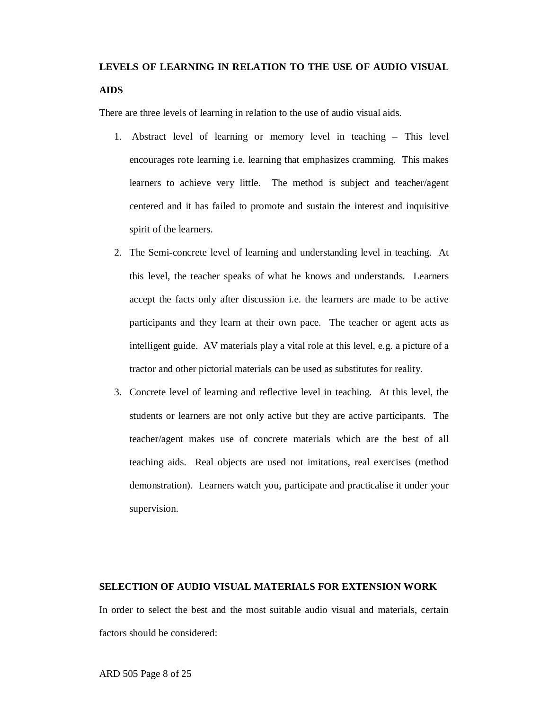# **LEVELS OF LEARNING IN RELATION TO THE USE OF AUDIO VISUAL**

## **AIDS**

There are three levels of learning in relation to the use of audio visual aids.

- 1. Abstract level of learning or memory level in teaching This level encourages rote learning i.e. learning that emphasizes cramming. This makes learners to achieve very little. The method is subject and teacher/agent centered and it has failed to promote and sustain the interest and inquisitive spirit of the learners.
- 2. The Semi-concrete level of learning and understanding level in teaching. At this level, the teacher speaks of what he knows and understands. Learners accept the facts only after discussion i.e. the learners are made to be active participants and they learn at their own pace. The teacher or agent acts as intelligent guide. AV materials play a vital role at this level, e.g. a picture of a tractor and other pictorial materials can be used as substitutes for reality.
- 3. Concrete level of learning and reflective level in teaching. At this level, the students or learners are not only active but they are active participants. The teacher/agent makes use of concrete materials which are the best of all teaching aids. Real objects are used not imitations, real exercises (method demonstration). Learners watch you, participate and practicalise it under your supervision.

## **SELECTION OF AUDIO VISUAL MATERIALS FOR EXTENSION WORK**

In order to select the best and the most suitable audio visual and materials, certain factors should be considered: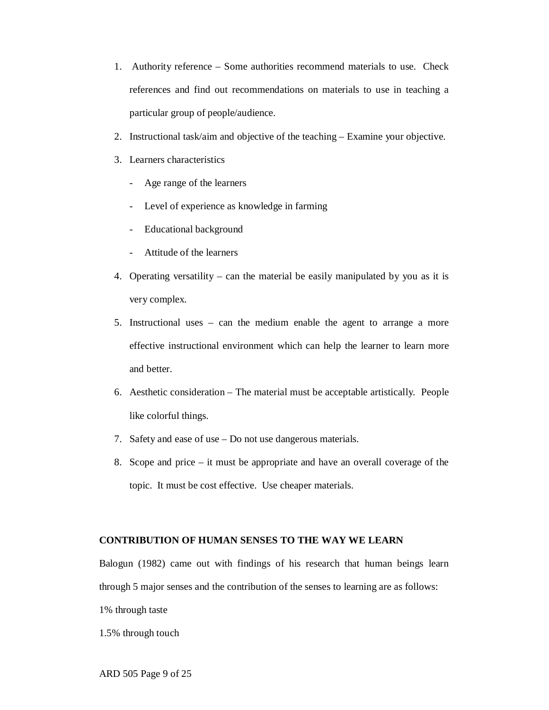- 1. Authority reference Some authorities recommend materials to use. Check references and find out recommendations on materials to use in teaching a particular group of people/audience.
- 2. Instructional task/aim and objective of the teaching Examine your objective.
- 3. Learners characteristics
	- Age range of the learners
	- Level of experience as knowledge in farming
	- Educational background
	- Attitude of the learners
- 4. Operating versatility can the material be easily manipulated by you as it is very complex.
- 5. Instructional uses can the medium enable the agent to arrange a more effective instructional environment which can help the learner to learn more and better.
- 6. Aesthetic consideration The material must be acceptable artistically. People like colorful things.
- 7. Safety and ease of use Do not use dangerous materials.
- 8. Scope and price it must be appropriate and have an overall coverage of the topic. It must be cost effective. Use cheaper materials.

## **CONTRIBUTION OF HUMAN SENSES TO THE WAY WE LEARN**

Balogun (1982) came out with findings of his research that human beings learn through 5 major senses and the contribution of the senses to learning are as follows:

1% through taste

1.5% through touch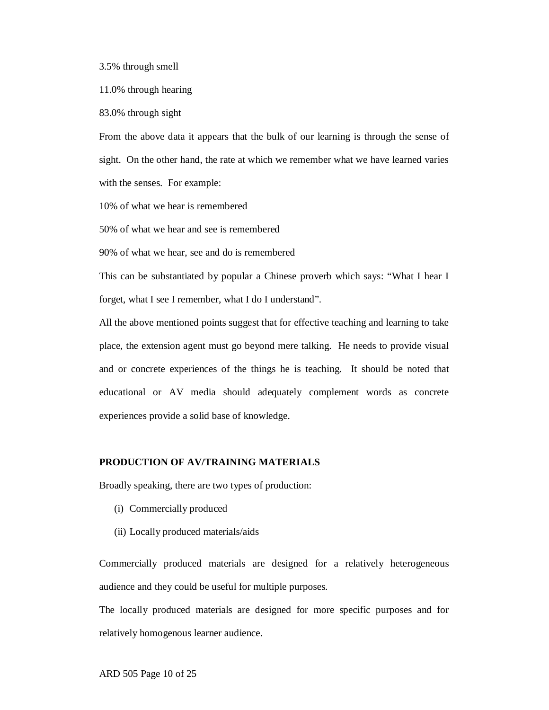3.5% through smell

11.0% through hearing

83.0% through sight

From the above data it appears that the bulk of our learning is through the sense of sight. On the other hand, the rate at which we remember what we have learned varies with the senses. For example:

10% of what we hear is remembered

50% of what we hear and see is remembered

90% of what we hear, see and do is remembered

This can be substantiated by popular a Chinese proverb which says: "What I hear I forget, what I see I remember, what I do I understand".

All the above mentioned points suggest that for effective teaching and learning to take place, the extension agent must go beyond mere talking. He needs to provide visual and or concrete experiences of the things he is teaching. It should be noted that educational or AV media should adequately complement words as concrete experiences provide a solid base of knowledge.

#### **PRODUCTION OF AV/TRAINING MATERIALS**

Broadly speaking, there are two types of production:

- (i) Commercially produced
- (ii) Locally produced materials/aids

Commercially produced materials are designed for a relatively heterogeneous audience and they could be useful for multiple purposes.

The locally produced materials are designed for more specific purposes and for relatively homogenous learner audience.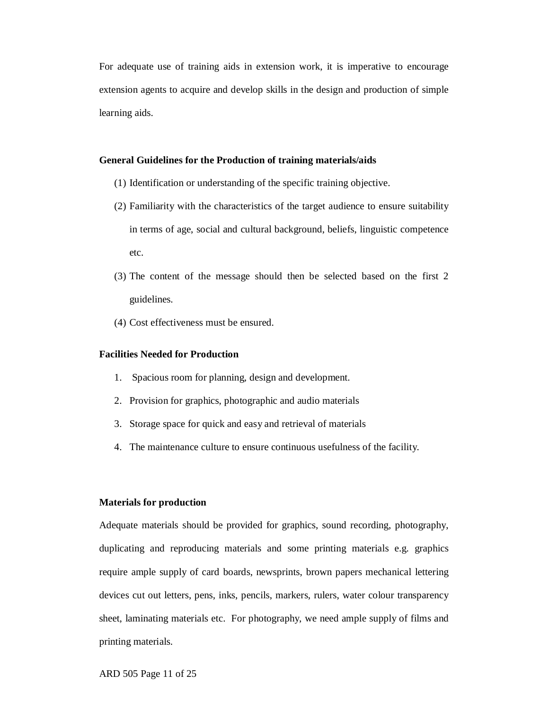For adequate use of training aids in extension work, it is imperative to encourage extension agents to acquire and develop skills in the design and production of simple learning aids.

## **General Guidelines for the Production of training materials/aids**

- (1) Identification or understanding of the specific training objective.
- (2) Familiarity with the characteristics of the target audience to ensure suitability in terms of age, social and cultural background, beliefs, linguistic competence etc.
- (3) The content of the message should then be selected based on the first 2 guidelines.
- (4) Cost effectiveness must be ensured.

## **Facilities Needed for Production**

- 1. Spacious room for planning, design and development.
- 2. Provision for graphics, photographic and audio materials
- 3. Storage space for quick and easy and retrieval of materials
- 4. The maintenance culture to ensure continuous usefulness of the facility.

## **Materials for production**

Adequate materials should be provided for graphics, sound recording, photography, duplicating and reproducing materials and some printing materials e.g. graphics require ample supply of card boards, newsprints, brown papers mechanical lettering devices cut out letters, pens, inks, pencils, markers, rulers, water colour transparency sheet, laminating materials etc. For photography, we need ample supply of films and printing materials.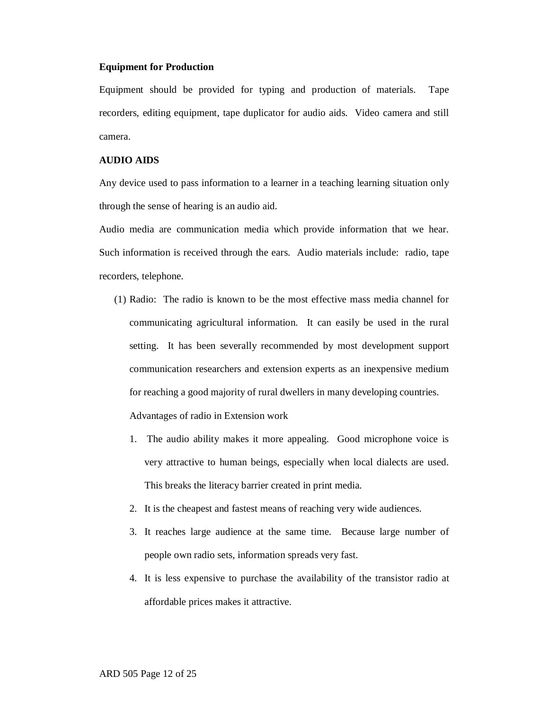#### **Equipment for Production**

Equipment should be provided for typing and production of materials. Tape recorders, editing equipment, tape duplicator for audio aids. Video camera and still camera.

## **AUDIO AIDS**

Any device used to pass information to a learner in a teaching learning situation only through the sense of hearing is an audio aid.

Audio media are communication media which provide information that we hear. Such information is received through the ears. Audio materials include: radio, tape recorders, telephone.

- (1) Radio: The radio is known to be the most effective mass media channel for communicating agricultural information. It can easily be used in the rural setting. It has been severally recommended by most development support communication researchers and extension experts as an inexpensive medium for reaching a good majority of rural dwellers in many developing countries. Advantages of radio in Extension work
	- 1. The audio ability makes it more appealing. Good microphone voice is very attractive to human beings, especially when local dialects are used. This breaks the literacy barrier created in print media.
	- 2. It is the cheapest and fastest means of reaching very wide audiences.
	- 3. It reaches large audience at the same time. Because large number of people own radio sets, information spreads very fast.
	- 4. It is less expensive to purchase the availability of the transistor radio at affordable prices makes it attractive.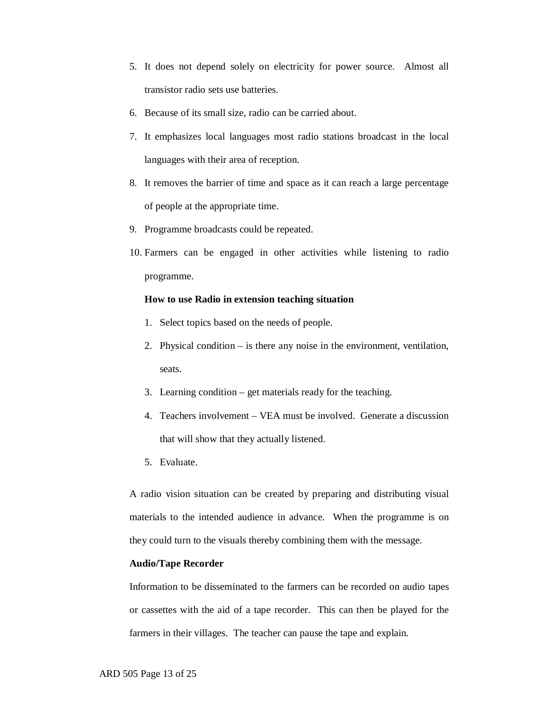- 5. It does not depend solely on electricity for power source. Almost all transistor radio sets use batteries.
- 6. Because of its small size, radio can be carried about.
- 7. It emphasizes local languages most radio stations broadcast in the local languages with their area of reception.
- 8. It removes the barrier of time and space as it can reach a large percentage of people at the appropriate time.
- 9. Programme broadcasts could be repeated.
- 10. Farmers can be engaged in other activities while listening to radio programme.

#### **How to use Radio in extension teaching situation**

- 1. Select topics based on the needs of people.
- 2. Physical condition is there any noise in the environment, ventilation, seats.
- 3. Learning condition get materials ready for the teaching.
- 4. Teachers involvement VEA must be involved. Generate a discussion that will show that they actually listened.
- 5. Evaluate.

A radio vision situation can be created by preparing and distributing visual materials to the intended audience in advance. When the programme is on they could turn to the visuals thereby combining them with the message.

#### **Audio/Tape Recorder**

Information to be disseminated to the farmers can be recorded on audio tapes or cassettes with the aid of a tape recorder. This can then be played for the farmers in their villages. The teacher can pause the tape and explain.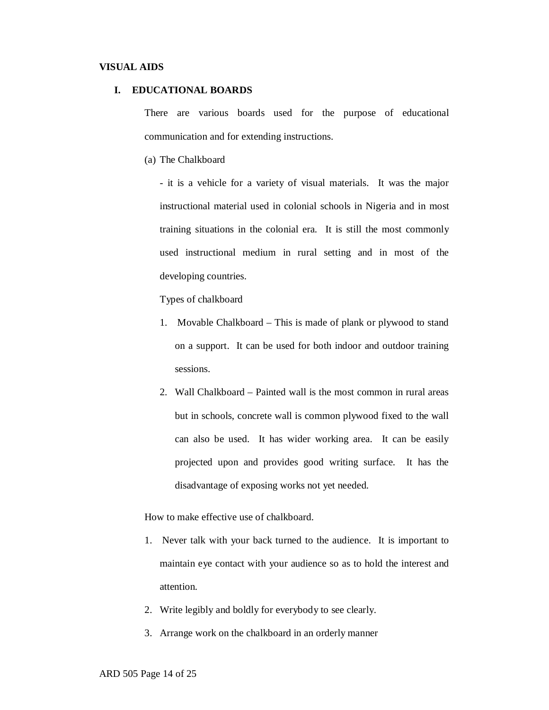#### **VISUAL AIDS**

#### **I. EDUCATIONAL BOARDS**

There are various boards used for the purpose of educational communication and for extending instructions.

(a) The Chalkboard

- it is a vehicle for a variety of visual materials. It was the major instructional material used in colonial schools in Nigeria and in most training situations in the colonial era. It is still the most commonly used instructional medium in rural setting and in most of the developing countries.

Types of chalkboard

- 1. Movable Chalkboard This is made of plank or plywood to stand on a support. It can be used for both indoor and outdoor training sessions.
- 2. Wall Chalkboard Painted wall is the most common in rural areas but in schools, concrete wall is common plywood fixed to the wall can also be used. It has wider working area. It can be easily projected upon and provides good writing surface. It has the disadvantage of exposing works not yet needed.

How to make effective use of chalkboard.

- 1. Never talk with your back turned to the audience. It is important to maintain eye contact with your audience so as to hold the interest and attention.
- 2. Write legibly and boldly for everybody to see clearly.
- 3. Arrange work on the chalkboard in an orderly manner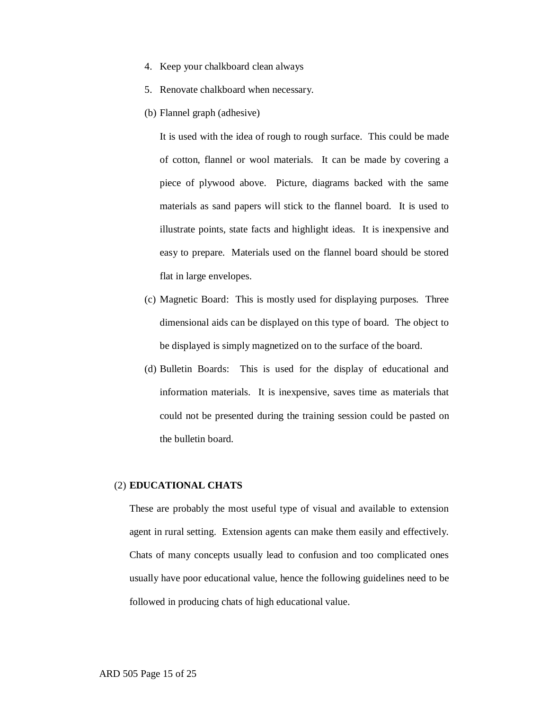- 4. Keep your chalkboard clean always
- 5. Renovate chalkboard when necessary.
- (b) Flannel graph (adhesive)

It is used with the idea of rough to rough surface. This could be made of cotton, flannel or wool materials. It can be made by covering a piece of plywood above. Picture, diagrams backed with the same materials as sand papers will stick to the flannel board. It is used to illustrate points, state facts and highlight ideas. It is inexpensive and easy to prepare. Materials used on the flannel board should be stored flat in large envelopes.

- (c) Magnetic Board: This is mostly used for displaying purposes. Three dimensional aids can be displayed on this type of board. The object to be displayed is simply magnetized on to the surface of the board.
- (d) Bulletin Boards: This is used for the display of educational and information materials. It is inexpensive, saves time as materials that could not be presented during the training session could be pasted on the bulletin board.

#### (2) **EDUCATIONAL CHATS**

These are probably the most useful type of visual and available to extension agent in rural setting. Extension agents can make them easily and effectively. Chats of many concepts usually lead to confusion and too complicated ones usually have poor educational value, hence the following guidelines need to be followed in producing chats of high educational value.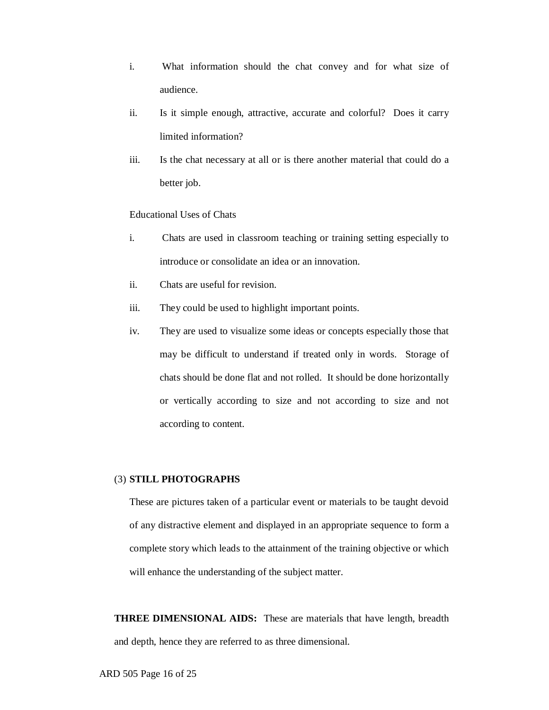- i. What information should the chat convey and for what size of audience.
- ii. Is it simple enough, attractive, accurate and colorful? Does it carry limited information?
- iii. Is the chat necessary at all or is there another material that could do a better job.

## Educational Uses of Chats

- i. Chats are used in classroom teaching or training setting especially to introduce or consolidate an idea or an innovation.
- ii. Chats are useful for revision.
- iii. They could be used to highlight important points.
- iv. They are used to visualize some ideas or concepts especially those that may be difficult to understand if treated only in words. Storage of chats should be done flat and not rolled. It should be done horizontally or vertically according to size and not according to size and not according to content.

## (3) **STILL PHOTOGRAPHS**

These are pictures taken of a particular event or materials to be taught devoid of any distractive element and displayed in an appropriate sequence to form a complete story which leads to the attainment of the training objective or which will enhance the understanding of the subject matter.

**THREE DIMENSIONAL AIDS:** These are materials that have length, breadth and depth, hence they are referred to as three dimensional.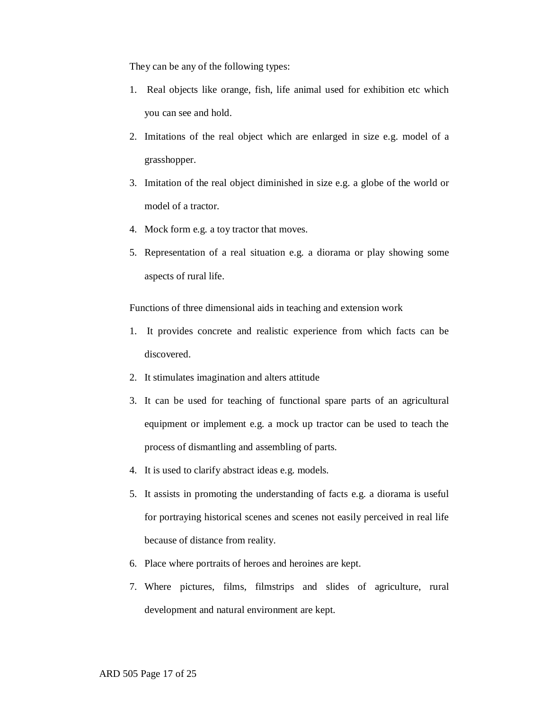They can be any of the following types:

- 1. Real objects like orange, fish, life animal used for exhibition etc which you can see and hold.
- 2. Imitations of the real object which are enlarged in size e.g. model of a grasshopper.
- 3. Imitation of the real object diminished in size e.g. a globe of the world or model of a tractor.
- 4. Mock form e.g. a toy tractor that moves.
- 5. Representation of a real situation e.g. a diorama or play showing some aspects of rural life.

Functions of three dimensional aids in teaching and extension work

- 1. It provides concrete and realistic experience from which facts can be discovered.
- 2. It stimulates imagination and alters attitude
- 3. It can be used for teaching of functional spare parts of an agricultural equipment or implement e.g. a mock up tractor can be used to teach the process of dismantling and assembling of parts.
- 4. It is used to clarify abstract ideas e.g. models.
- 5. It assists in promoting the understanding of facts e.g. a diorama is useful for portraying historical scenes and scenes not easily perceived in real life because of distance from reality.
- 6. Place where portraits of heroes and heroines are kept.
- 7. Where pictures, films, filmstrips and slides of agriculture, rural development and natural environment are kept.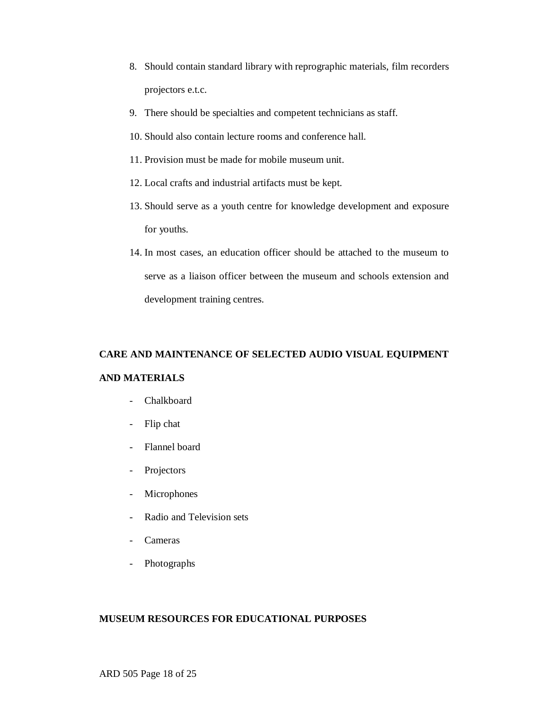- 8. Should contain standard library with reprographic materials, film recorders projectors e.t.c.
- 9. There should be specialties and competent technicians as staff.
- 10. Should also contain lecture rooms and conference hall.
- 11. Provision must be made for mobile museum unit.
- 12. Local crafts and industrial artifacts must be kept.
- 13. Should serve as a youth centre for knowledge development and exposure for youths.
- 14. In most cases, an education officer should be attached to the museum to serve as a liaison officer between the museum and schools extension and development training centres.

# **CARE AND MAINTENANCE OF SELECTED AUDIO VISUAL EQUIPMENT AND MATERIALS**

- Chalkboard
- Flip chat
- Flannel board
- Projectors
- Microphones
- Radio and Television sets
- Cameras
- Photographs

## **MUSEUM RESOURCES FOR EDUCATIONAL PURPOSES**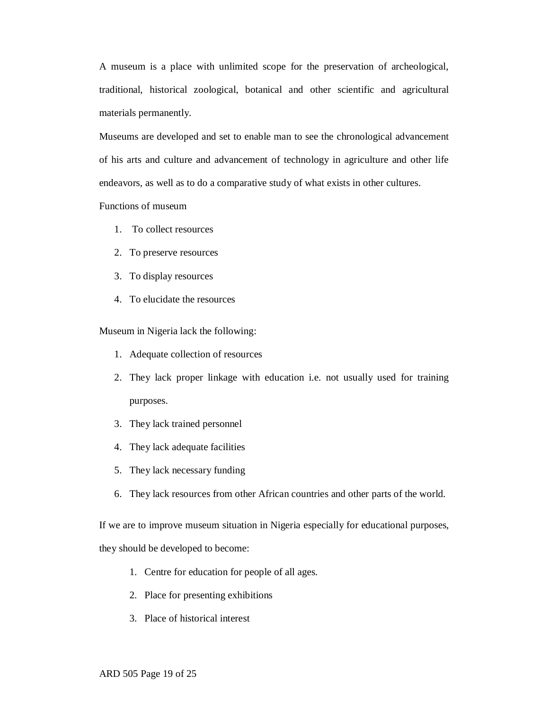A museum is a place with unlimited scope for the preservation of archeological, traditional, historical zoological, botanical and other scientific and agricultural materials permanently.

Museums are developed and set to enable man to see the chronological advancement of his arts and culture and advancement of technology in agriculture and other life endeavors, as well as to do a comparative study of what exists in other cultures.

## Functions of museum

- 1. To collect resources
- 2. To preserve resources
- 3. To display resources
- 4. To elucidate the resources

Museum in Nigeria lack the following:

- 1. Adequate collection of resources
- 2. They lack proper linkage with education i.e. not usually used for training purposes.
- 3. They lack trained personnel
- 4. They lack adequate facilities
- 5. They lack necessary funding
- 6. They lack resources from other African countries and other parts of the world.

If we are to improve museum situation in Nigeria especially for educational purposes,

they should be developed to become:

- 1. Centre for education for people of all ages.
- 2. Place for presenting exhibitions
- 3. Place of historical interest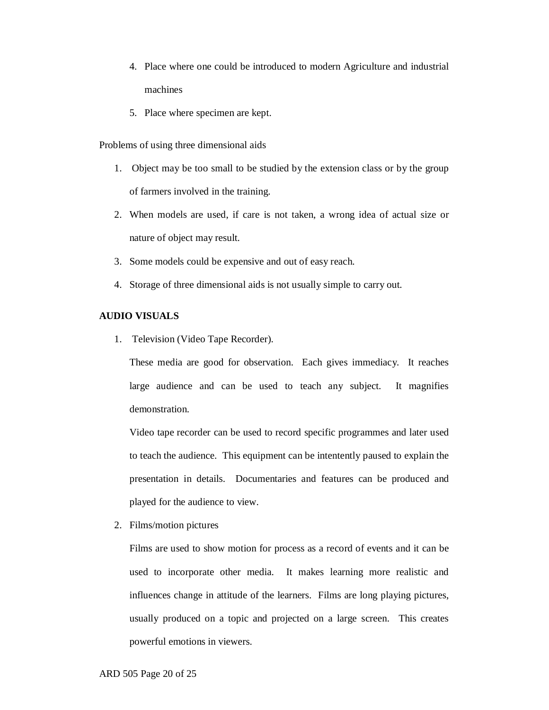- 4. Place where one could be introduced to modern Agriculture and industrial machines
- 5. Place where specimen are kept.

Problems of using three dimensional aids

- 1. Object may be too small to be studied by the extension class or by the group of farmers involved in the training.
- 2. When models are used, if care is not taken, a wrong idea of actual size or nature of object may result.
- 3. Some models could be expensive and out of easy reach.
- 4. Storage of three dimensional aids is not usually simple to carry out.

# **AUDIO VISUALS**

1. Television (Video Tape Recorder).

These media are good for observation. Each gives immediacy. It reaches large audience and can be used to teach any subject. It magnifies demonstration.

Video tape recorder can be used to record specific programmes and later used to teach the audience. This equipment can be intentently paused to explain the presentation in details. Documentaries and features can be produced and played for the audience to view.

2. Films/motion pictures

Films are used to show motion for process as a record of events and it can be used to incorporate other media. It makes learning more realistic and influences change in attitude of the learners. Films are long playing pictures, usually produced on a topic and projected on a large screen. This creates powerful emotions in viewers.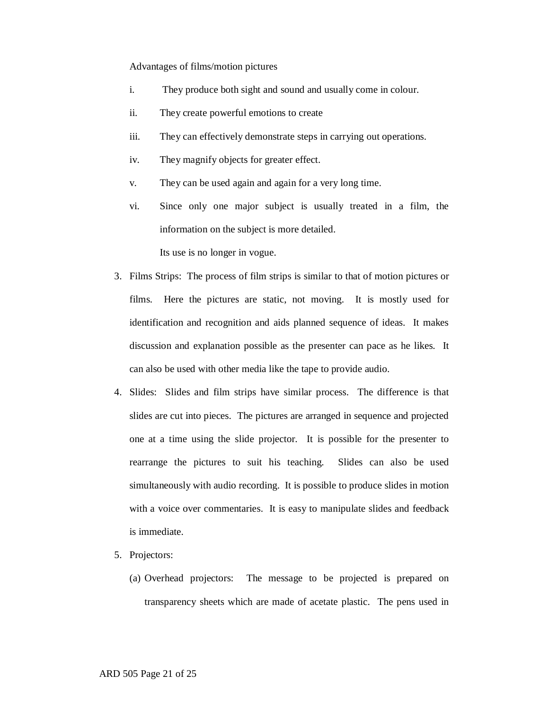#### Advantages of films/motion pictures

- i. They produce both sight and sound and usually come in colour.
- ii. They create powerful emotions to create
- iii. They can effectively demonstrate steps in carrying out operations.
- iv. They magnify objects for greater effect.
- v. They can be used again and again for a very long time.
- vi. Since only one major subject is usually treated in a film, the information on the subject is more detailed.

Its use is no longer in vogue.

- 3. Films Strips: The process of film strips is similar to that of motion pictures or films. Here the pictures are static, not moving. It is mostly used for identification and recognition and aids planned sequence of ideas. It makes discussion and explanation possible as the presenter can pace as he likes. It can also be used with other media like the tape to provide audio.
- 4. Slides: Slides and film strips have similar process. The difference is that slides are cut into pieces. The pictures are arranged in sequence and projected one at a time using the slide projector. It is possible for the presenter to rearrange the pictures to suit his teaching. Slides can also be used simultaneously with audio recording. It is possible to produce slides in motion with a voice over commentaries. It is easy to manipulate slides and feedback is immediate.
- 5. Projectors:
	- (a) Overhead projectors: The message to be projected is prepared on transparency sheets which are made of acetate plastic. The pens used in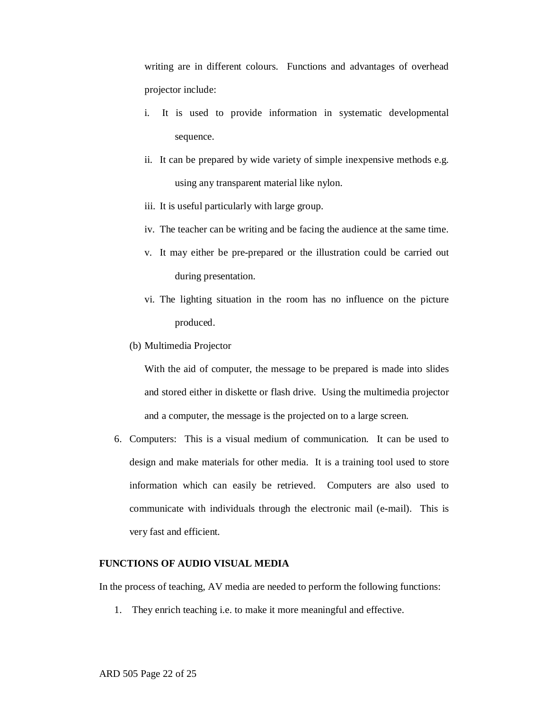writing are in different colours. Functions and advantages of overhead projector include:

- i. It is used to provide information in systematic developmental sequence.
- ii. It can be prepared by wide variety of simple inexpensive methods e.g. using any transparent material like nylon.
- iii. It is useful particularly with large group.
- iv. The teacher can be writing and be facing the audience at the same time.
- v. It may either be pre-prepared or the illustration could be carried out during presentation.
- vi. The lighting situation in the room has no influence on the picture produced.
- (b) Multimedia Projector

With the aid of computer, the message to be prepared is made into slides and stored either in diskette or flash drive. Using the multimedia projector and a computer, the message is the projected on to a large screen.

6. Computers: This is a visual medium of communication. It can be used to design and make materials for other media. It is a training tool used to store information which can easily be retrieved. Computers are also used to communicate with individuals through the electronic mail (e-mail). This is very fast and efficient.

## **FUNCTIONS OF AUDIO VISUAL MEDIA**

In the process of teaching, AV media are needed to perform the following functions:

1. They enrich teaching i.e. to make it more meaningful and effective.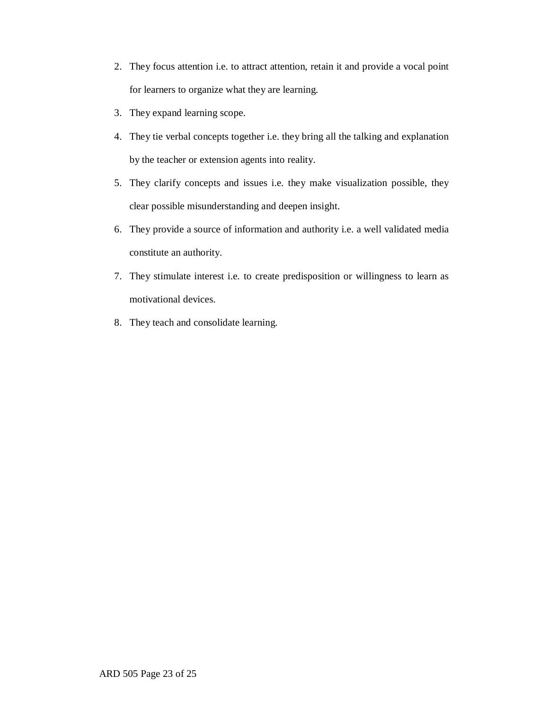- 2. They focus attention i.e. to attract attention, retain it and provide a vocal point for learners to organize what they are learning.
- 3. They expand learning scope.
- 4. They tie verbal concepts together i.e. they bring all the talking and explanation by the teacher or extension agents into reality.
- 5. They clarify concepts and issues i.e. they make visualization possible, they clear possible misunderstanding and deepen insight.
- 6. They provide a source of information and authority i.e. a well validated media constitute an authority.
- 7. They stimulate interest i.e. to create predisposition or willingness to learn as motivational devices.
- 8. They teach and consolidate learning.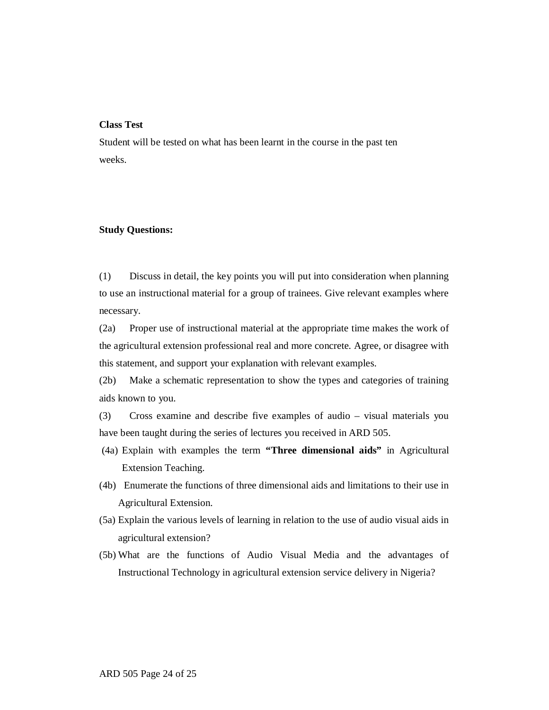## **Class Test**

Student will be tested on what has been learnt in the course in the past ten weeks.

#### **Study Questions:**

(1) Discuss in detail, the key points you will put into consideration when planning to use an instructional material for a group of trainees. Give relevant examples where necessary.

(2a) Proper use of instructional material at the appropriate time makes the work of the agricultural extension professional real and more concrete. Agree, or disagree with this statement, and support your explanation with relevant examples.

(2b) Make a schematic representation to show the types and categories of training aids known to you.

(3) Cross examine and describe five examples of audio – visual materials you have been taught during the series of lectures you received in ARD 505.

- (4a) Explain with examples the term **"Three dimensional aids"** in Agricultural Extension Teaching.
- (4b) Enumerate the functions of three dimensional aids and limitations to their use in Agricultural Extension.
- (5a) Explain the various levels of learning in relation to the use of audio visual aids in agricultural extension?
- (5b) What are the functions of Audio Visual Media and the advantages of Instructional Technology in agricultural extension service delivery in Nigeria?